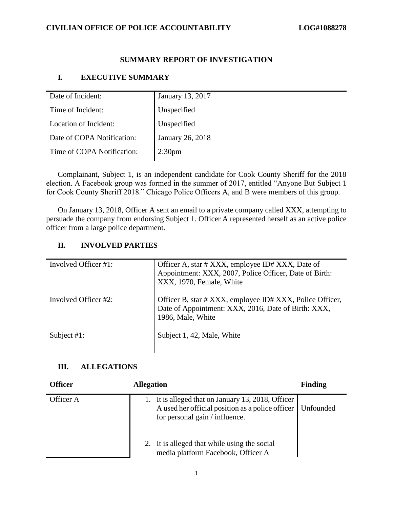### **SUMMARY REPORT OF INVESTIGATION**

## **I. EXECUTIVE SUMMARY**

| Date of Incident:          | January 13, 2017   |
|----------------------------|--------------------|
|                            |                    |
| Time of Incident:          | Unspecified        |
| Location of Incident:      | Unspecified        |
| Date of COPA Notification: | January 26, 2018   |
| Time of COPA Notification: | 2:30 <sub>pm</sub> |

Complainant, Subject 1, is an independent candidate for Cook County Sheriff for the 2018 election. A Facebook group was formed in the summer of 2017, entitled "Anyone But Subject 1 for Cook County Sheriff 2018." Chicago Police Officers A, and B were members of this group.

On January 13, 2018, Officer A sent an email to a private company called XXX, attempting to persuade the company from endorsing Subject 1. Officer A represented herself as an active police officer from a large police department.

### **II. INVOLVED PARTIES**

| Involved Officer #1: | Officer A, star # XXX, employee ID# XXX, Date of<br>Appointment: XXX, 2007, Police Officer, Date of Birth:<br>XXX, 1970, Female, White |
|----------------------|----------------------------------------------------------------------------------------------------------------------------------------|
| Involved Officer #2: | Officer B, star # XXX, employee ID# XXX, Police Officer,<br>Date of Appointment: XXX, 2016, Date of Birth: XXX,<br>1986, Male, White   |
| Subject $#1$ :       | Subject 1, 42, Male, White                                                                                                             |

#### **III. ALLEGATIONS**

| <b>Officer</b> | <b>Allegation</b>                                                                                                                                    | <b>Finding</b> |
|----------------|------------------------------------------------------------------------------------------------------------------------------------------------------|----------------|
| Officer A      | 1. It is alleged that on January 13, 2018, Officer<br>A used her official position as a police officer   Unfounded<br>for personal gain / influence. |                |
|                | 2. It is alleged that while using the social<br>media platform Facebook, Officer A                                                                   |                |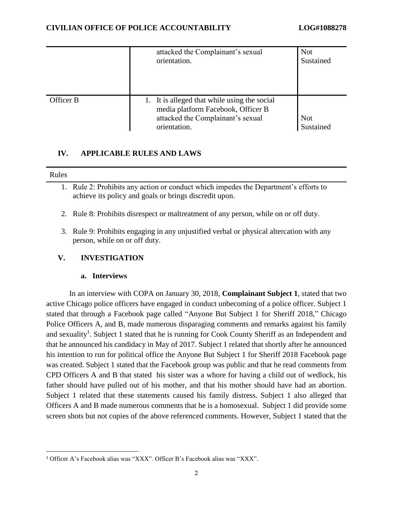|           | attacked the Complainant's sexual<br>orientation.                                                                                       | <b>Not</b><br>Sustained |
|-----------|-----------------------------------------------------------------------------------------------------------------------------------------|-------------------------|
| Officer B | 1. It is alleged that while using the social<br>media platform Facebook, Officer B<br>attacked the Complainant's sexual<br>orientation. | <b>Not</b><br>Sustained |

## **IV. APPLICABLE RULES AND LAWS**

#### Rules

 $\overline{\phantom{a}}$ 

- 1. Rule 2: Prohibits any action or conduct which impedes the Department's efforts to achieve its policy and goals or brings discredit upon.
- 2. Rule 8: Prohibits disrespect or maltreatment of any person, while on or off duty.
- 3. Rule 9: Prohibits engaging in any unjustified verbal or physical altercation with any person, while on or off duty.

## **V. INVESTIGATION**

## **a. Interviews**

In an interview with COPA on January 30, 2018, **Complainant Subject 1**, stated that two active Chicago police officers have engaged in conduct unbecoming of a police officer. Subject 1 stated that through a Facebook page called "Anyone But Subject 1 for Sheriff 2018," Chicago Police Officers A, and B, made numerous disparaging comments and remarks against his family and sexuality<sup>1</sup>. Subject 1 stated that he is running for Cook County Sheriff as an Independent and that he announced his candidacy in May of 2017. Subject 1 related that shortly after he announced his intention to run for political office the Anyone But Subject 1 for Sheriff 2018 Facebook page was created. Subject 1 stated that the Facebook group was public and that he read comments from CPD Officers A and B that stated his sister was a whore for having a child out of wedlock, his father should have pulled out of his mother, and that his mother should have had an abortion. Subject 1 related that these statements caused his family distress. Subject 1 also alleged that Officers A and B made numerous comments that he is a homosexual. Subject 1 did provide some screen shots but not copies of the above referenced comments. However, Subject 1 stated that the

<sup>1</sup> Officer A's Facebook alias was "XXX". Officer B's Facebook alias was "XXX".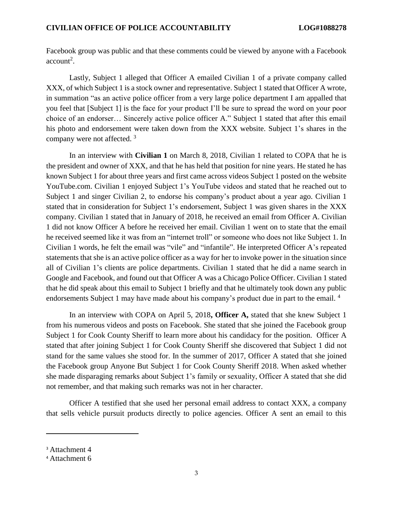Facebook group was public and that these comments could be viewed by anyone with a Facebook  $account<sup>2</sup>$ .

Lastly, Subject 1 alleged that Officer A emailed Civilian 1 of a private company called XXX, of which Subject 1 is a stock owner and representative. Subject 1 stated that Officer A wrote, in summation "as an active police officer from a very large police department I am appalled that you feel that [Subject 1] is the face for your product I'll be sure to spread the word on your poor choice of an endorser… Sincerely active police officer A." Subject 1 stated that after this email his photo and endorsement were taken down from the XXX website. Subject 1's shares in the company were not affected.<sup>3</sup>

In an interview with **Civilian 1** on March 8, 2018, Civilian 1 related to COPA that he is the president and owner of XXX, and that he has held that position for nine years. He stated he has known Subject 1 for about three years and first came across videos Subject 1 posted on the website YouTube.com. Civilian 1 enjoyed Subject 1's YouTube videos and stated that he reached out to Subject 1 and singer Civilian 2, to endorse his company's product about a year ago. Civilian 1 stated that in consideration for Subject 1's endorsement, Subject 1 was given shares in the XXX company. Civilian 1 stated that in January of 2018, he received an email from Officer A. Civilian 1 did not know Officer A before he received her email. Civilian 1 went on to state that the email he received seemed like it was from an "internet troll" or someone who does not like Subject 1. In Civilian 1 words, he felt the email was "vile" and "infantile". He interpreted Officer A's repeated statements that she is an active police officer as a way for her to invoke power in the situation since all of Civilian 1's clients are police departments. Civilian 1 stated that he did a name search in Google and Facebook, and found out that Officer A was a Chicago Police Officer. Civilian 1 stated that he did speak about this email to Subject 1 briefly and that he ultimately took down any public endorsements Subject 1 may have made about his company's product due in part to the email.<sup>4</sup>

In an interview with COPA on April 5, 2018**, Officer A,** stated that she knew Subject 1 from his numerous videos and posts on Facebook. She stated that she joined the Facebook group Subject 1 for Cook County Sheriff to learn more about his candidacy for the position. Officer A stated that after joining Subject 1 for Cook County Sheriff she discovered that Subject 1 did not stand for the same values she stood for. In the summer of 2017, Officer A stated that she joined the Facebook group Anyone But Subject 1 for Cook County Sheriff 2018. When asked whether she made disparaging remarks about Subject 1's family or sexuality, Officer A stated that she did not remember, and that making such remarks was not in her character.

Officer A testified that she used her personal email address to contact XXX, a company that sells vehicle pursuit products directly to police agencies. Officer A sent an email to this

 $\overline{a}$ 

<sup>&</sup>lt;sup>3</sup> Attachment 4

<sup>4</sup> Attachment 6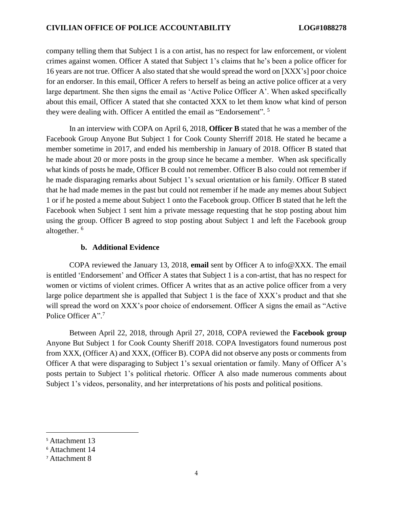company telling them that Subject 1 is a con artist, has no respect for law enforcement, or violent crimes against women. Officer A stated that Subject 1's claims that he's been a police officer for 16 years are not true. Officer A also stated that she would spread the word on [XXX's] poor choice for an endorser. In this email, Officer A refers to herself as being an active police officer at a very large department. She then signs the email as 'Active Police Officer A'. When asked specifically about this email, Officer A stated that she contacted XXX to let them know what kind of person they were dealing with. Officer A entitled the email as "Endorsement". <sup>5</sup>

In an interview with COPA on April 6, 2018, **Officer B** stated that he was a member of the Facebook Group Anyone But Subject 1 for Cook County Sherriff 2018. He stated he became a member sometime in 2017, and ended his membership in January of 2018. Officer B stated that he made about 20 or more posts in the group since he became a member. When ask specifically what kinds of posts he made, Officer B could not remember. Officer B also could not remember if he made disparaging remarks about Subject 1's sexual orientation or his family. Officer B stated that he had made memes in the past but could not remember if he made any memes about Subject 1 or if he posted a meme about Subject 1 onto the Facebook group. Officer B stated that he left the Facebook when Subject 1 sent him a private message requesting that he stop posting about him using the group. Officer B agreed to stop posting about Subject 1 and left the Facebook group altogether. <sup>6</sup>

#### **b. Additional Evidence**

COPA reviewed the January 13, 2018, **email** sent by Officer A to info@XXX. The email is entitled 'Endorsement' and Officer A states that Subject 1 is a con-artist, that has no respect for women or victims of violent crimes. Officer A writes that as an active police officer from a very large police department she is appalled that Subject 1 is the face of XXX's product and that she will spread the word on XXX's poor choice of endorsement. Officer A signs the email as "Active Police Officer A".<sup>7</sup>

Between April 22, 2018, through April 27, 2018, COPA reviewed the **Facebook group**  Anyone But Subject 1 for Cook County Sheriff 2018. COPA Investigators found numerous post from XXX, (Officer A) and XXX, (Officer B). COPA did not observe any posts or comments from Officer A that were disparaging to Subject 1's sexual orientation or family. Many of Officer A's posts pertain to Subject 1's political rhetoric. Officer A also made numerous comments about Subject 1's videos, personality, and her interpretations of his posts and political positions.

 $\overline{\phantom{a}}$ 

<sup>5</sup> Attachment 13

<sup>6</sup> Attachment 14

<sup>7</sup> Attachment 8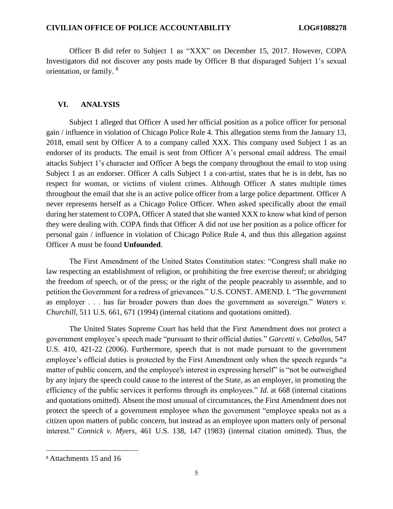Officer B did refer to Subject 1 as "XXX" on December 15, 2017. However, COPA Investigators did not discover any posts made by Officer B that disparaged Subject 1's sexual orientation, or family. <sup>8</sup>

#### **VI. ANALYSIS**

Subject 1 alleged that Officer A used her official position as a police officer for personal gain / influence in violation of Chicago Police Rule 4. This allegation stems from the January 13, 2018, email sent by Officer A to a company called XXX. This company used Subject 1 as an endorser of its products. The email is sent from Officer A's personal email address. The email attacks Subject 1's character and Officer A begs the company throughout the email to stop using Subject 1 as an endorser. Officer A calls Subject 1 a con-artist, states that he is in debt, has no respect for woman, or victims of violent crimes. Although Officer A states multiple times throughout the email that she is an active police officer from a large police department. Officer A never represents herself as a Chicago Police Officer. When asked specifically about the email during her statement to COPA, Officer A stated that she wanted XXX to know what kind of person they were dealing with. COPA finds that Officer A did not use her position as a police officer for personal gain / influence in violation of Chicago Police Rule 4, and thus this allegation against Officer A must be found **Unfounded**.

The First Amendment of the United States Constitution states: "Congress shall make no law respecting an establishment of religion, or prohibiting the free exercise thereof; or abridging the freedom of speech, or of the press; or the right of the people peaceably to assemble, and to petition the Government for a redress of grievances." U.S. CONST. AMEND. I. "The government as employer . . . has far broader powers than does the government as sovereign." *Waters v. Churchill*, 511 U.S. 661, 671 (1994) (internal citations and quotations omitted).

The United States Supreme Court has held that the First Amendment does not protect a government employee's speech made "pursuant to their official duties." *Garcetti v. Ceballos*, 547 U.S. 410, 421-22 (2006). Furthermore, speech that is not made pursuant to the government employee's official duties is protected by the First Amendment only when the speech regards "a matter of public concern, and the employee's interest in expressing herself" is "not be outweighed by any injury the speech could cause to the interest of the State, as an employer, in promoting the efficiency of the public services it performs through its employees." *Id.* at 668 (internal citations and quotations omitted). Absent the most unusual of circumstances, the First Amendment does not protect the speech of a government employee when the government "employee speaks not as a citizen upon matters of public concern, but instead as an employee upon matters only of personal interest." *Connick v. Myers*, 461 U.S. 138, 147 (1983) (internal citation omitted). Thus, the

 $\overline{\phantom{a}}$ 

<sup>8</sup> Attachments 15 and 16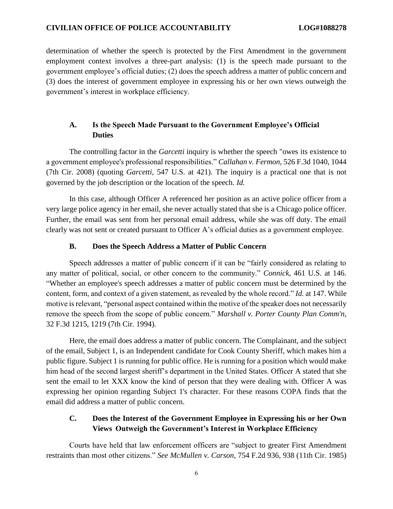determination of whether the speech is protected by the First Amendment in the government employment context involves a three-part analysis: (1) is the speech made pursuant to the government employee's official duties; (2) does the speech address a matter of public concern and (3) does the interest of government employee in expressing his or her own views outweigh the government's interest in workplace efficiency.

## **A. Is the Speech Made Pursuant to the Government Employee's Official Duties**

The controlling factor in the *Garcetti* inquiry is whether the speech "owes its existence to a government employee's professional responsibilities." *Callahan v. Fermon*, 526 F.3d 1040, 1044 (7th Cir. 2008) (quoting *Garcetti*, 547 U.S. at 421). The inquiry is a practical one that is not governed by the job description or the location of the speech. *Id.*

In this case, although Officer A referenced her position as an active police officer from a very large police agency in her email, she never actually stated that she is a Chicago police officer. Further, the email was sent from her personal email address, while she was off duty. The email clearly was not sent or created pursuant to Officer A's official duties as a government employee.

#### **B. Does the Speech Address a Matter of Public Concern**

Speech addresses a matter of public concern if it can be "fairly considered as relating to any matter of political, social, or other concern to the community." *Connick*, 461 U.S. at 146. "Whether an employee's speech addresses a matter of public concern must be determined by the content, form, and context of a given statement, as revealed by the whole record." *Id.* at 147. While motive is relevant, "personal aspect contained within the motive of the speaker does not necessarily remove the speech from the scope of public concern." *Marshall v. Porter County Plan Comm'n*, 32 F.3d 1215, 1219 (7th Cir. 1994).

Here, the email does address a matter of public concern. The Complainant, and the subject of the email, Subject 1, is an Independent candidate for Cook County Sheriff, which makes him a public figure. Subject 1 is running for public office. He is running for a position which would make him head of the second largest sheriff's department in the United States. Officer A stated that she sent the email to let XXX know the kind of person that they were dealing with. Officer A was expressing her opinion regarding Subject 1's character. For these reasons COPA finds that the email did address a matter of public concern.

## **C. Does the Interest of the Government Employee in Expressing his or her Own Views Outweigh the Government's Interest in Workplace Efficiency**

Courts have held that law enforcement officers are "subject to greater First Amendment restraints than most other citizens." *See McMullen v. Carson*, 754 F.2d 936, 938 (11th Cir. 1985)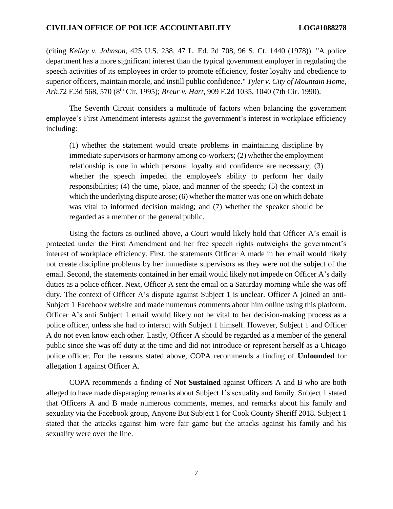(citing *Kelley v. Johnson*, 425 U.S. 238, 47 L. Ed. 2d 708, 96 S. Ct. 1440 (1978)). "A police department has a more significant interest than the typical government employer in regulating the speech activities of its employees in order to promote efficiency, foster loyalty and obedience to superior officers, maintain morale, and instill public confidence." *[Tyler v. City of Mountain Home,](https://advance.lexis.com/document/?pdmfid=1000516&crid=9b949b0d-21b6-4d81-93d0-218eb2f217fc&pddocfullpath=%2Fshared%2Fdocument%2Fcases%2Furn%3AcontentItem%3A4770-YXM0-0038-Y3KJ-00000-00&pddocid=urn%3AcontentItem%3A4770-YXM0-0038-Y3KJ-00000-00&pdcontentcomponentid=6411&pdshepid=urn%3AcontentItem%3A7XWN-D431-2NSD-R2PW-00000-00&pdteaserkey=sr1&ecomp=kyffk&earg=sr1&prid=d6fdec28-1322-4d89-8152-716aee338181)  Ark.*[72 F.3d 568, 570 \(8](https://advance.lexis.com/document/?pdmfid=1000516&crid=9b949b0d-21b6-4d81-93d0-218eb2f217fc&pddocfullpath=%2Fshared%2Fdocument%2Fcases%2Furn%3AcontentItem%3A4770-YXM0-0038-Y3KJ-00000-00&pddocid=urn%3AcontentItem%3A4770-YXM0-0038-Y3KJ-00000-00&pdcontentcomponentid=6411&pdshepid=urn%3AcontentItem%3A7XWN-D431-2NSD-R2PW-00000-00&pdteaserkey=sr1&ecomp=kyffk&earg=sr1&prid=d6fdec28-1322-4d89-8152-716aee338181)th Cir. 1995); *Breur v. Hart*, 909 F.2d 1035, 1040 (7th Cir. 1990).

The Seventh Circuit considers a multitude of factors when balancing the government employee's First Amendment interests against the government's interest in workplace efficiency including:

(1) whether the statement would create problems in maintaining discipline by immediate supervisors or harmony among co-workers; (2) whether the employment relationship is one in which personal loyalty and confidence are necessary; (3) whether the speech impeded the employee's ability to perform her daily responsibilities; (4) the time, place, and manner of the speech; (5) the context in which the underlying dispute arose; (6) whether the matter was one on which debate was vital to informed decision making; and (7) whether the speaker should be regarded as a member of the general public.

Using the factors as outlined above, a Court would likely hold that Officer A's email is protected under the First Amendment and her free speech rights outweighs the government's interest of workplace efficiency. First, the statements Officer A made in her email would likely not create discipline problems by her immediate supervisors as they were not the subject of the email. Second, the statements contained in her email would likely not impede on Officer A's daily duties as a police officer. Next, Officer A sent the email on a Saturday morning while she was off duty. The context of Officer A's dispute against Subject 1 is unclear. Officer A joined an anti-Subject 1 Facebook website and made numerous comments about him online using this platform. Officer A's anti Subject 1 email would likely not be vital to her decision-making process as a police officer, unless she had to interact with Subject 1 himself. However, Subject 1 and Officer A do not even know each other. Lastly, Officer A should be regarded as a member of the general public since she was off duty at the time and did not introduce or represent herself as a Chicago police officer. For the reasons stated above, COPA recommends a finding of **Unfounded** for allegation 1 against Officer A.

COPA recommends a finding of **Not Sustained** against Officers A and B who are both alleged to have made disparaging remarks about Subject 1's sexuality and family. Subject 1 stated that Officers A and B made numerous comments, memes, and remarks about his family and sexuality via the Facebook group, Anyone But Subject 1 for Cook County Sheriff 2018. Subject 1 stated that the attacks against him were fair game but the attacks against his family and his sexuality were over the line.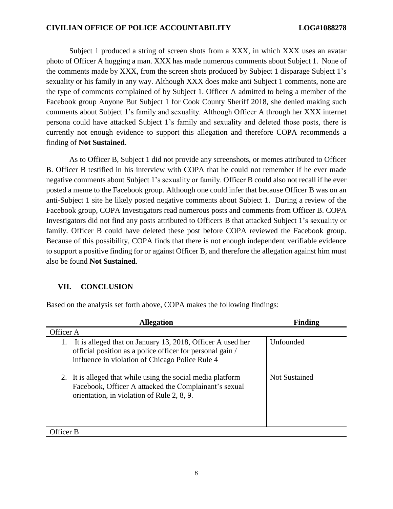Subject 1 produced a string of screen shots from a XXX, in which XXX uses an avatar photo of Officer A hugging a man. XXX has made numerous comments about Subject 1. None of the comments made by XXX, from the screen shots produced by Subject 1 disparage Subject 1's sexuality or his family in any way. Although XXX does make anti Subject 1 comments, none are the type of comments complained of by Subject 1. Officer A admitted to being a member of the Facebook group Anyone But Subject 1 for Cook County Sheriff 2018, she denied making such comments about Subject 1's family and sexuality. Although Officer A through her XXX internet persona could have attacked Subject 1's family and sexuality and deleted those posts, there is currently not enough evidence to support this allegation and therefore COPA recommends a finding of **Not Sustained**.

As to Officer B, Subject 1 did not provide any screenshots, or memes attributed to Officer B. Officer B testified in his interview with COPA that he could not remember if he ever made negative comments about Subject 1's sexuality or family. Officer B could also not recall if he ever posted a meme to the Facebook group. Although one could infer that because Officer B was on an anti-Subject 1 site he likely posted negative comments about Subject 1. During a review of the Facebook group, COPA Investigators read numerous posts and comments from Officer B. COPA Investigators did not find any posts attributed to Officers B that attacked Subject 1's sexuality or family. Officer B could have deleted these post before COPA reviewed the Facebook group. Because of this possibility, COPA finds that there is not enough independent verifiable evidence to support a positive finding for or against Officer B, and therefore the allegation against him must also be found **Not Sustained**.

## **VII. CONCLUSION**

Based on the analysis set forth above, COPA makes the following findings:

| <b>Allegation</b>                                                                                                                                                                | <b>Finding</b>       |  |
|----------------------------------------------------------------------------------------------------------------------------------------------------------------------------------|----------------------|--|
| Officer A                                                                                                                                                                        |                      |  |
| It is alleged that on January 13, 2018, Officer A used her<br>1.<br>official position as a police officer for personal gain /<br>influence in violation of Chicago Police Rule 4 | Unfounded            |  |
| 2. It is alleged that while using the social media platform<br>Facebook, Officer A attacked the Complainant's sexual<br>orientation, in violation of Rule 2, 8, 9.               | <b>Not Sustained</b> |  |
| Officer B                                                                                                                                                                        |                      |  |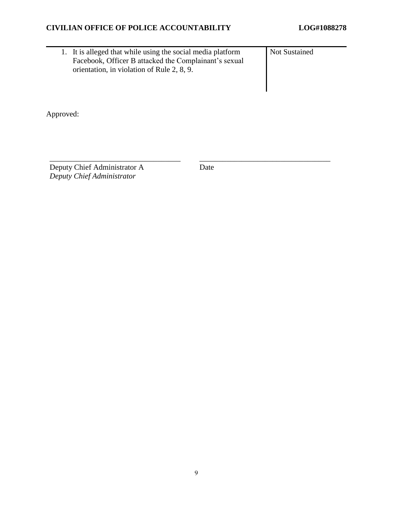1. It is alleged that while using the social media platform Facebook, Officer B attacked the Complainant's sexual orientation, in violation of Rule 2, 8, 9. Not Sustained

Approved:

Deputy Chief Administrator A *Deputy Chief Administrator*

Date

\_\_\_\_\_\_\_\_\_\_\_\_\_\_\_\_\_\_\_\_\_\_\_\_\_\_\_\_\_\_\_\_\_\_ \_\_\_\_\_\_\_\_\_\_\_\_\_\_\_\_\_\_\_\_\_\_\_\_\_\_\_\_\_\_\_\_\_\_